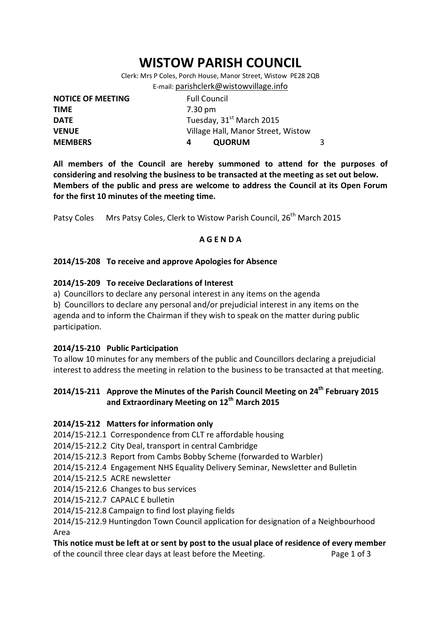# **WISTOW PARISH COUNCIL**

Clerk: Mrs P Coles, Porch House, Manor Street, Wistow PE28 2QB E-mail: [parishclerk@wistowvillage.info](mailto:parishclerk@wistowvillage.info)

| <b>NOTICE OF MEETING</b> | <b>Full Council</b>                  |   |
|--------------------------|--------------------------------------|---|
| <b>TIME</b>              | 7.30 pm                              |   |
| <b>DATE</b>              | Tuesday, 31 <sup>st</sup> March 2015 |   |
| <b>VENUE</b>             | Village Hall, Manor Street, Wistow   |   |
| <b>MEMBERS</b>           | <b>QUORUM</b><br>4                   | 3 |

**All members of the Council are hereby summoned to attend for the purposes of considering and resolving the business to be transacted at the meeting as set out below. Members of the public and press are welcome to address the Council at its Open Forum for the first 10 minutes of the meeting time.**

Patsy Coles Mrs Patsy Coles, Clerk to Wistow Parish Council, 26<sup>th</sup> March 2015

# **A G E N D A**

# **2014/15-208 To receive and approve Apologies for Absence**

#### **2014/15-209 To receive Declarations of Interest**

a) Councillors to declare any personal interest in any items on the agenda

b) Councillors to declare any personal and/or prejudicial interest in any items on the agenda and to inform the Chairman if they wish to speak on the matter during public participation.

#### **2014/15-210 Public Participation**

To allow 10 minutes for any members of the public and Councillors declaring a prejudicial interest to address the meeting in relation to the business to be transacted at that meeting.

# **2014/15-211 Approve the Minutes of the Parish Council Meeting on 24th February 2015 and Extraordinary Meeting on 12th March 2015**

# **2014/15-212 Matters for information only**

2014/15-212.1 Correspondence from CLT re affordable housing

2014/15-212.2 City Deal, transport in central Cambridge

2014/15-212.3 Report from Cambs Bobby Scheme (forwarded to Warbler)

- 2014/15-212.4 Engagement NHS Equality Delivery Seminar, Newsletter and Bulletin
- 2014/15-212.5 ACRE newsletter

2014/15-212.6 Changes to bus services

2014/15-212.7 CAPALC E bulletin

2014/15-212.8 Campaign to find lost playing fields

2014/15-212.9 Huntingdon Town Council application for designation of a Neighbourhood Area

**This notice must be left at or sent by post to the usual place of residence of every member**  of the council three clear days at least before the Meeting. Page 1 of 3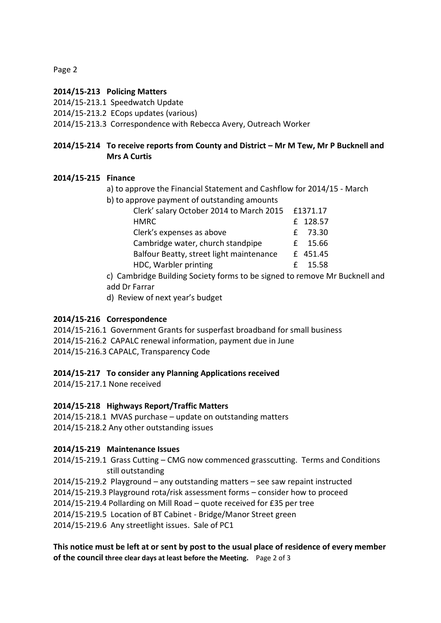Page 2

#### **2014/15-213 Policing Matters**

2014/15-213.1 Speedwatch Update

2014/15-213.2 ECops updates (various)

2014/15-213.3 Correspondence with Rebecca Avery, Outreach Worker

# **2014/15-214 To receive reports from County and District – Mr M Tew, Mr P Bucknell and Mrs A Curtis**

#### **2014/15-215 Finance**

a) to approve the Financial Statement and Cashflow for 2014/15 - March

b) to approve payment of outstanding amounts

| Clerk' salary October 2014 to March 2015 | £1371.17 |  |
|------------------------------------------|----------|--|
| <b>HMRC</b>                              | £ 128.57 |  |
| Clerk's expenses as above                | £ 73.30  |  |
| Cambridge water, church standpipe        | £ 15.66  |  |
| Balfour Beatty, street light maintenance | £ 451.45 |  |
| HDC, Warbler printing                    | f 15.58  |  |

c) Cambridge Building Society forms to be signed to remove Mr Bucknell and add Dr Farrar

d) Review of next year's budget

# **2014/15-216 Correspondence**

2014/15-216.1 Government Grants for susperfast broadband for small business 2014/15-216.2 CAPALC renewal information, payment due in June 2014/15-216.3 CAPALC, Transparency Code

# **2014/15-217 To consider any Planning Applications received**

2014/15-217.1 None received

# **2014/15-218 Highways Report/Traffic Matters**

2014/15-218.1 MVAS purchase – update on outstanding matters 2014/15-218.2 Any other outstanding issues

# **2014/15-219 Maintenance Issues**

2014/15-219.1 Grass Cutting – CMG now commenced grasscutting. Terms and Conditions still outstanding

2014/15-219.2 Playground – any outstanding matters – see saw repaint instructed 2014/15-219.3 Playground rota/risk assessment forms – consider how to proceed 2014/15-219.4 Pollarding on Mill Road – quote received for £35 per tree 2014/15-219.5 Location of BT Cabinet - Bridge/Manor Street green

2014/15-219.6 Any streetlight issues. Sale of PC1

**This notice must be left at or sent by post to the usual place of residence of every member of the council three clear days at least before the Meeting.** Page 2 of 3